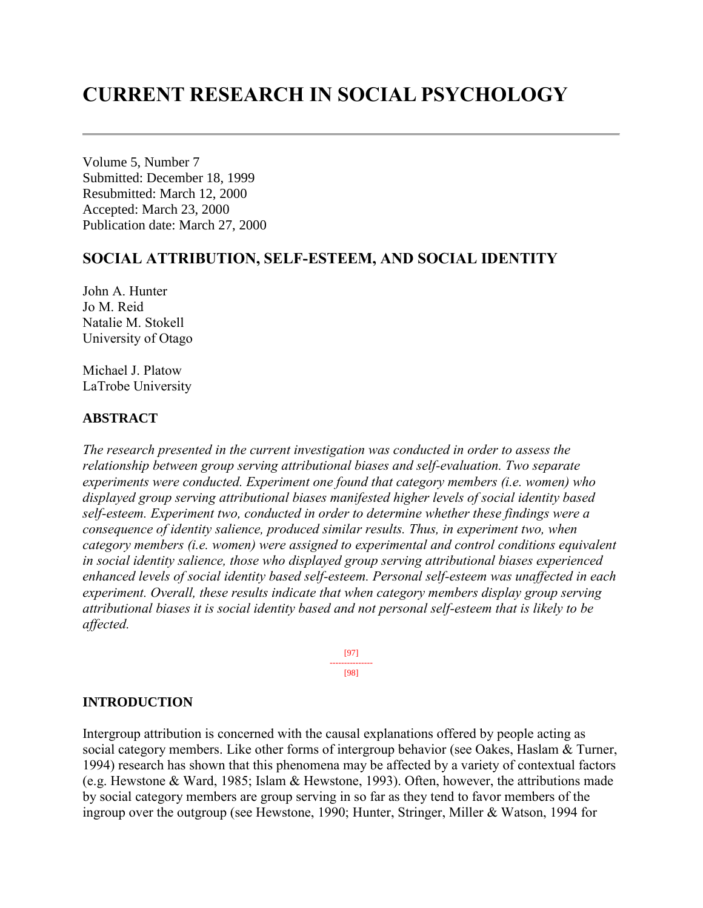# **CURRENT RESEARCH IN SOCIAL PSYCHOLOGY**

Volume 5, Number 7 Submitted: December 18, 1999 Resubmitted: March 12, 2000 Accepted: March 23, 2000 Publication date: March 27, 2000

## **SOCIAL ATTRIBUTION, SELF-ESTEEM, AND SOCIAL IDENTITY**

John A. Hunter Jo M. Reid Natalie M. Stokell University of Otago

Michael J. Platow LaTrobe University

## **ABSTRACT**

*The research presented in the current investigation was conducted in order to assess the relationship between group serving attributional biases and self-evaluation. Two separate experiments were conducted. Experiment one found that category members (i.e. women) who displayed group serving attributional biases manifested higher levels of social identity based self-esteem. Experiment two, conducted in order to determine whether these findings were a consequence of identity salience, produced similar results. Thus, in experiment two, when category members (i.e. women) were assigned to experimental and control conditions equivalent in social identity salience, those who displayed group serving attributional biases experienced enhanced levels of social identity based self-esteem. Personal self-esteem was unaffected in each experiment. Overall, these results indicate that when category members display group serving attributional biases it is social identity based and not personal self-esteem that is likely to be affected.*

> [97] --------------- [98]

## **INTRODUCTION**

Intergroup attribution is concerned with the causal explanations offered by people acting as social category members. Like other forms of intergroup behavior (see Oakes, Haslam & Turner, 1994) research has shown that this phenomena may be affected by a variety of contextual factors (e.g. Hewstone & Ward, 1985; Islam & Hewstone, 1993). Often, however, the attributions made by social category members are group serving in so far as they tend to favor members of the ingroup over the outgroup (see Hewstone, 1990; Hunter, Stringer, Miller & Watson, 1994 for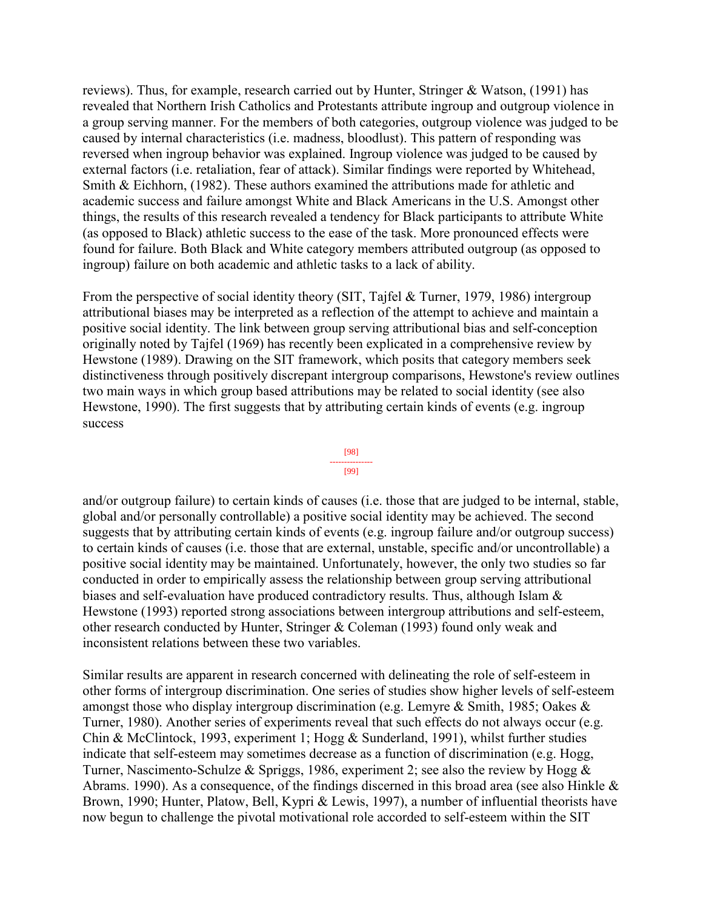reviews). Thus, for example, research carried out by Hunter, Stringer & Watson, (1991) has revealed that Northern Irish Catholics and Protestants attribute ingroup and outgroup violence in a group serving manner. For the members of both categories, outgroup violence was judged to be caused by internal characteristics (i.e. madness, bloodlust). This pattern of responding was reversed when ingroup behavior was explained. Ingroup violence was judged to be caused by external factors (i.e. retaliation, fear of attack). Similar findings were reported by Whitehead, Smith & Eichhorn, (1982). These authors examined the attributions made for athletic and academic success and failure amongst White and Black Americans in the U.S. Amongst other things, the results of this research revealed a tendency for Black participants to attribute White (as opposed to Black) athletic success to the ease of the task. More pronounced effects were found for failure. Both Black and White category members attributed outgroup (as opposed to ingroup) failure on both academic and athletic tasks to a lack of ability.

From the perspective of social identity theory (SIT, Tajfel & Turner, 1979, 1986) intergroup attributional biases may be interpreted as a reflection of the attempt to achieve and maintain a positive social identity. The link between group serving attributional bias and self-conception originally noted by Tajfel (1969) has recently been explicated in a comprehensive review by Hewstone (1989). Drawing on the SIT framework, which posits that category members seek distinctiveness through positively discrepant intergroup comparisons, Hewstone's review outlines two main ways in which group based attributions may be related to social identity (see also Hewstone, 1990). The first suggests that by attributing certain kinds of events (e.g. ingroup success

[98] --------------- [99]

and/or outgroup failure) to certain kinds of causes (i.e. those that are judged to be internal, stable, global and/or personally controllable) a positive social identity may be achieved. The second suggests that by attributing certain kinds of events (e.g. ingroup failure and/or outgroup success) to certain kinds of causes (i.e. those that are external, unstable, specific and/or uncontrollable) a positive social identity may be maintained. Unfortunately, however, the only two studies so far conducted in order to empirically assess the relationship between group serving attributional biases and self-evaluation have produced contradictory results. Thus, although Islam & Hewstone (1993) reported strong associations between intergroup attributions and self-esteem, other research conducted by Hunter, Stringer & Coleman (1993) found only weak and inconsistent relations between these two variables.

Similar results are apparent in research concerned with delineating the role of self-esteem in other forms of intergroup discrimination. One series of studies show higher levels of self-esteem amongst those who display intergroup discrimination (e.g. Lemyre & Smith, 1985; Oakes & Turner, 1980). Another series of experiments reveal that such effects do not always occur (e.g. Chin & McClintock, 1993, experiment 1; Hogg & Sunderland, 1991), whilst further studies indicate that self-esteem may sometimes decrease as a function of discrimination (e.g. Hogg, Turner, Nascimento-Schulze & Spriggs, 1986, experiment 2; see also the review by Hogg  $\&$ Abrams. 1990). As a consequence, of the findings discerned in this broad area (see also Hinkle & Brown, 1990; Hunter, Platow, Bell, Kypri & Lewis, 1997), a number of influential theorists have now begun to challenge the pivotal motivational role accorded to self-esteem within the SIT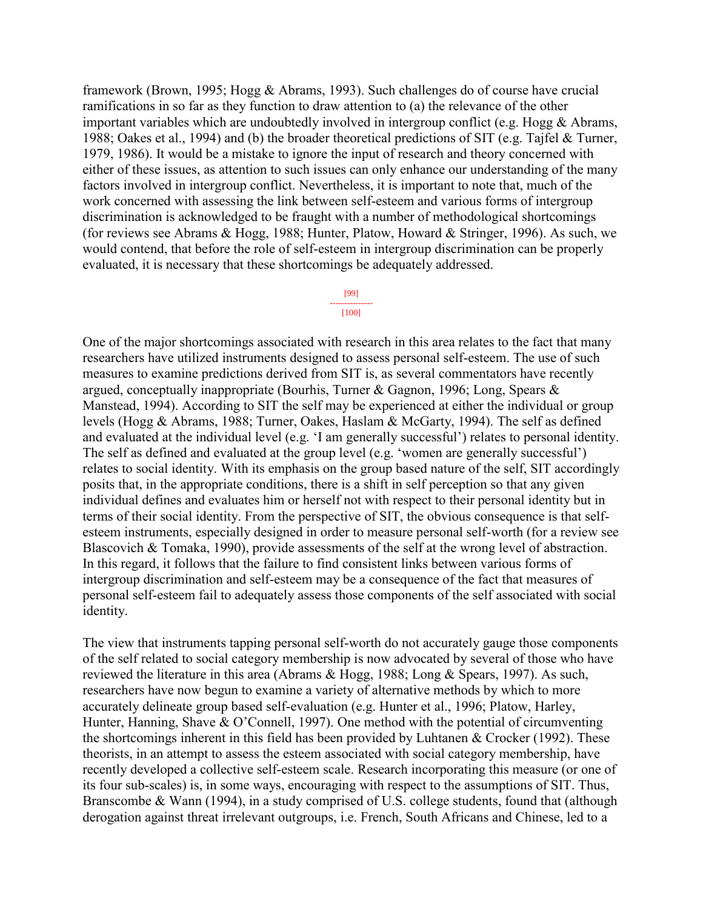framework (Brown, 1995; Hogg & Abrams, 1993). Such challenges do of course have crucial ramifications in so far as they function to draw attention to (a) the relevance of the other important variables which are undoubtedly involved in intergroup conflict (e.g. Hogg & Abrams, 1988; Oakes et al., 1994) and (b) the broader theoretical predictions of SIT (e.g. Tajfel & Turner, 1979, 1986). It would be a mistake to ignore the input of research and theory concerned with either of these issues, as attention to such issues can only enhance our understanding of the many factors involved in intergroup conflict. Nevertheless, it is important to note that, much of the work concerned with assessing the link between self-esteem and various forms of intergroup discrimination is acknowledged to be fraught with a number of methodological shortcomings (for reviews see Abrams & Hogg, 1988; Hunter, Platow, Howard & Stringer, 1996). As such, we would contend, that before the role of self-esteem in intergroup discrimination can be properly evaluated, it is necessary that these shortcomings be adequately addressed.

#### [99] ---------------

#### [100]

One of the major shortcomings associated with research in this area relates to the fact that many researchers have utilized instruments designed to assess personal self-esteem. The use of such measures to examine predictions derived from SIT is, as several commentators have recently argued, conceptually inappropriate (Bourhis, Turner & Gagnon, 1996; Long, Spears & Manstead, 1994). According to SIT the self may be experienced at either the individual or group levels (Hogg & Abrams, 1988; Turner, Oakes, Haslam & McGarty, 1994). The self as defined and evaluated at the individual level (e.g. 'I am generally successful') relates to personal identity. The self as defined and evaluated at the group level (e.g. 'women are generally successful') relates to social identity. With its emphasis on the group based nature of the self, SIT accordingly posits that, in the appropriate conditions, there is a shift in self perception so that any given individual defines and evaluates him or herself not with respect to their personal identity but in terms of their social identity. From the perspective of SIT, the obvious consequence is that selfesteem instruments, especially designed in order to measure personal self-worth (for a review see Blascovich & Tomaka, 1990), provide assessments of the self at the wrong level of abstraction. In this regard, it follows that the failure to find consistent links between various forms of intergroup discrimination and self-esteem may be a consequence of the fact that measures of personal self-esteem fail to adequately assess those components of the self associated with social identity.

The view that instruments tapping personal self-worth do not accurately gauge those components of the self related to social category membership is now advocated by several of those who have reviewed the literature in this area (Abrams & Hogg, 1988; Long & Spears, 1997). As such, researchers have now begun to examine a variety of alternative methods by which to more accurately delineate group based self-evaluation (e.g. Hunter et al., 1996; Platow, Harley, Hunter, Hanning, Shave & O'Connell, 1997). One method with the potential of circumventing the shortcomings inherent in this field has been provided by Luhtanen & Crocker (1992). These theorists, in an attempt to assess the esteem associated with social category membership, have recently developed a collective self-esteem scale. Research incorporating this measure (or one of its four sub-scales) is, in some ways, encouraging with respect to the assumptions of SIT. Thus, Branscombe & Wann (1994), in a study comprised of U.S. college students, found that (although derogation against threat irrelevant outgroups, i.e. French, South Africans and Chinese, led to a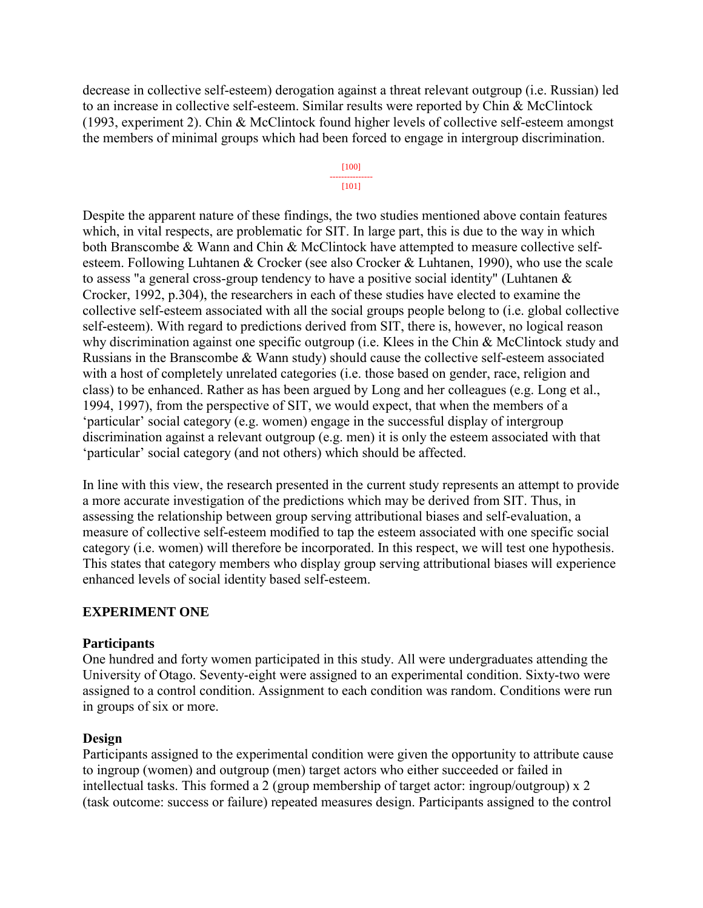decrease in collective self-esteem) derogation against a threat relevant outgroup (i.e. Russian) led to an increase in collective self-esteem. Similar results were reported by Chin & McClintock (1993, experiment 2). Chin & McClintock found higher levels of collective self-esteem amongst the members of minimal groups which had been forced to engage in intergroup discrimination.

#### [100] --------------- [101]

Despite the apparent nature of these findings, the two studies mentioned above contain features which, in vital respects, are problematic for SIT. In large part, this is due to the way in which both Branscombe & Wann and Chin & McClintock have attempted to measure collective selfesteem. Following Luhtanen & Crocker (see also Crocker & Luhtanen, 1990), who use the scale to assess "a general cross-group tendency to have a positive social identity" (Luhtanen & Crocker, 1992, p.304), the researchers in each of these studies have elected to examine the collective self-esteem associated with all the social groups people belong to (i.e. global collective self-esteem). With regard to predictions derived from SIT, there is, however, no logical reason why discrimination against one specific outgroup (i.e. Klees in the Chin & McClintock study and Russians in the Branscombe & Wann study) should cause the collective self-esteem associated with a host of completely unrelated categories (i.e. those based on gender, race, religion and class) to be enhanced. Rather as has been argued by Long and her colleagues (e.g. Long et al., 1994, 1997), from the perspective of SIT, we would expect, that when the members of a 'particular' social category (e.g. women) engage in the successful display of intergroup discrimination against a relevant outgroup (e.g. men) it is only the esteem associated with that 'particular' social category (and not others) which should be affected.

In line with this view, the research presented in the current study represents an attempt to provide a more accurate investigation of the predictions which may be derived from SIT. Thus, in assessing the relationship between group serving attributional biases and self-evaluation, a measure of collective self-esteem modified to tap the esteem associated with one specific social category (i.e. women) will therefore be incorporated. In this respect, we will test one hypothesis. This states that category members who display group serving attributional biases will experience enhanced levels of social identity based self-esteem.

## **EXPERIMENT ONE**

## **Participants**

One hundred and forty women participated in this study. All were undergraduates attending the University of Otago. Seventy-eight were assigned to an experimental condition. Sixty-two were assigned to a control condition. Assignment to each condition was random. Conditions were run in groups of six or more.

## **Design**

Participants assigned to the experimental condition were given the opportunity to attribute cause to ingroup (women) and outgroup (men) target actors who either succeeded or failed in intellectual tasks. This formed a 2 (group membership of target actor: ingroup/outgroup) x 2 (task outcome: success or failure) repeated measures design. Participants assigned to the control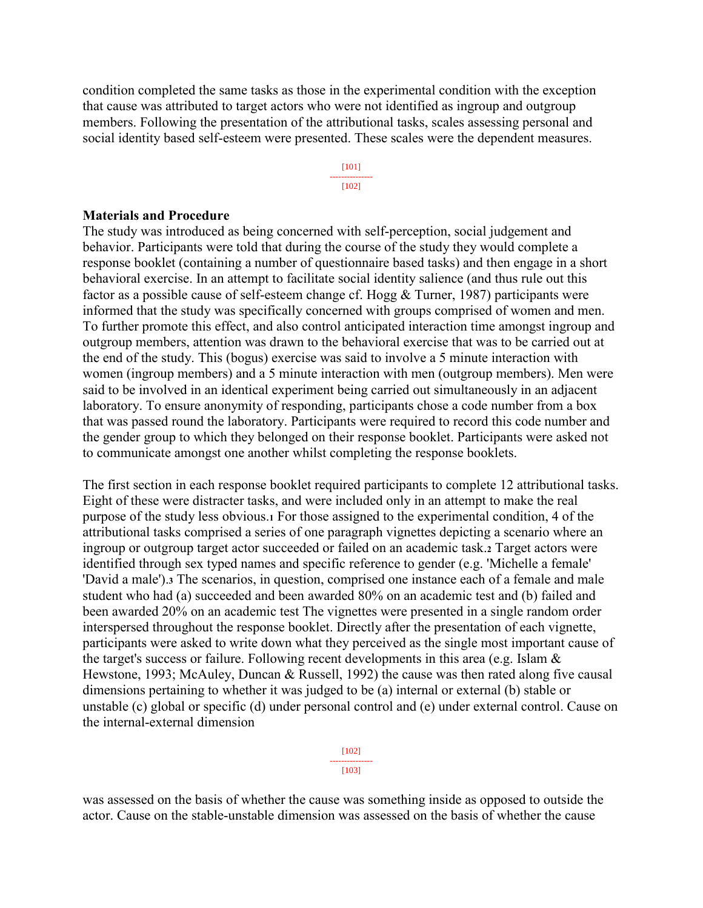condition completed the same tasks as those in the experimental condition with the exception that cause was attributed to target actors who were not identified as ingroup and outgroup members. Following the presentation of the attributional tasks, scales assessing personal and social identity based self-esteem were presented. These scales were the dependent measures.

> [101] --------------- [102]

#### **Materials and Procedure**

The study was introduced as being concerned with self-perception, social judgement and behavior. Participants were told that during the course of the study they would complete a response booklet (containing a number of questionnaire based tasks) and then engage in a short behavioral exercise. In an attempt to facilitate social identity salience (and thus rule out this factor as a possible cause of self-esteem change cf. Hogg & Turner, 1987) participants were informed that the study was specifically concerned with groups comprised of women and men. To further promote this effect, and also control anticipated interaction time amongst ingroup and outgroup members, attention was drawn to the behavioral exercise that was to be carried out at the end of the study. This (bogus) exercise was said to involve a 5 minute interaction with women (ingroup members) and a 5 minute interaction with men (outgroup members). Men were said to be involved in an identical experiment being carried out simultaneously in an adjacent laboratory. To ensure anonymity of responding, participants chose a code number from a box that was passed round the laboratory. Participants were required to record this code number and the gender group to which they belonged on their response booklet. Participants were asked not to communicate amongst one another whilst completing the response booklets.

The first section in each response booklet required participants to complete 12 attributional tasks. Eight of these were distracter tasks, and were included only in an attempt to make the real purpose of the study less obvious.**<sup>1</sup>** For those assigned to the experimental condition, 4 of the attributional tasks comprised a series of one paragraph vignettes depicting a scenario where an ingroup or outgroup target actor succeeded or failed on an academic task.**<sup>2</sup>** Target actors were identified through sex typed names and specific reference to gender (e.g. 'Michelle a female' 'David a male').**<sup>3</sup>** The scenarios, in question, comprised one instance each of a female and male student who had (a) succeeded and been awarded 80% on an academic test and (b) failed and been awarded 20% on an academic test The vignettes were presented in a single random order interspersed throughout the response booklet. Directly after the presentation of each vignette, participants were asked to write down what they perceived as the single most important cause of the target's success or failure. Following recent developments in this area (e.g. Islam & Hewstone, 1993; McAuley, Duncan & Russell, 1992) the cause was then rated along five causal dimensions pertaining to whether it was judged to be (a) internal or external (b) stable or unstable (c) global or specific (d) under personal control and (e) under external control. Cause on the internal-external dimension

> [102] --------------- [103]

was assessed on the basis of whether the cause was something inside as opposed to outside the actor. Cause on the stable-unstable dimension was assessed on the basis of whether the cause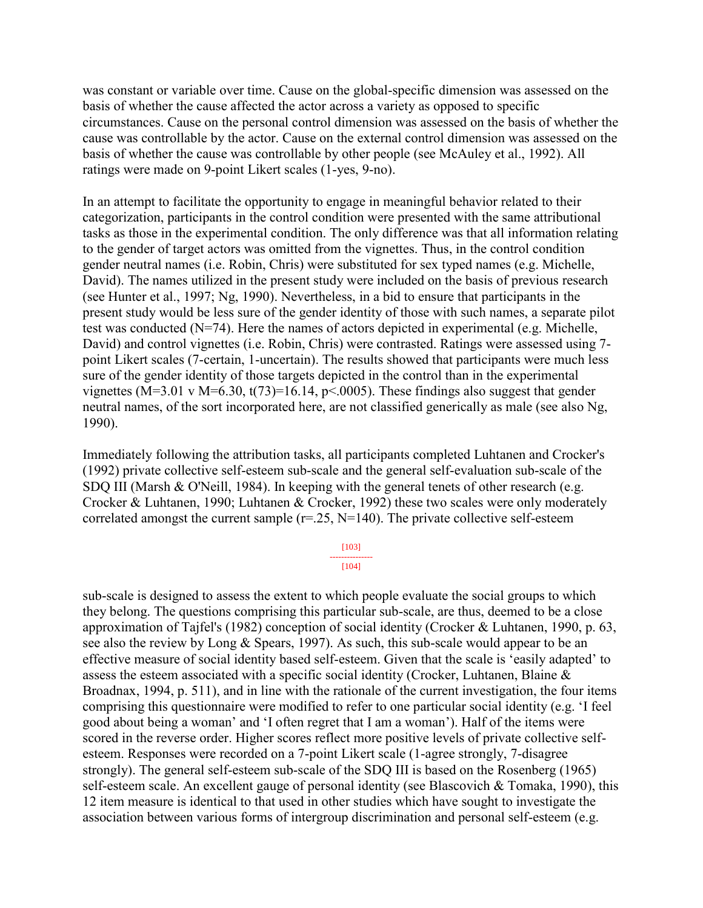was constant or variable over time. Cause on the global-specific dimension was assessed on the basis of whether the cause affected the actor across a variety as opposed to specific circumstances. Cause on the personal control dimension was assessed on the basis of whether the cause was controllable by the actor. Cause on the external control dimension was assessed on the basis of whether the cause was controllable by other people (see McAuley et al., 1992). All ratings were made on 9-point Likert scales (1-yes, 9-no).

In an attempt to facilitate the opportunity to engage in meaningful behavior related to their categorization, participants in the control condition were presented with the same attributional tasks as those in the experimental condition. The only difference was that all information relating to the gender of target actors was omitted from the vignettes. Thus, in the control condition gender neutral names (i.e. Robin, Chris) were substituted for sex typed names (e.g. Michelle, David). The names utilized in the present study were included on the basis of previous research (see Hunter et al., 1997; Ng, 1990). Nevertheless, in a bid to ensure that participants in the present study would be less sure of the gender identity of those with such names, a separate pilot test was conducted (N=74). Here the names of actors depicted in experimental (e.g. Michelle, David) and control vignettes (i.e. Robin, Chris) were contrasted. Ratings were assessed using 7 point Likert scales (7-certain, 1-uncertain). The results showed that participants were much less sure of the gender identity of those targets depicted in the control than in the experimental vignettes (M=3.01 v M=6.30, t(73)=16.14, p<.0005). These findings also suggest that gender neutral names, of the sort incorporated here, are not classified generically as male (see also Ng, 1990).

Immediately following the attribution tasks, all participants completed Luhtanen and Crocker's (1992) private collective self-esteem sub-scale and the general self-evaluation sub-scale of the SDQ III (Marsh & O'Neill, 1984). In keeping with the general tenets of other research (e.g. Crocker & Luhtanen, 1990; Luhtanen & Crocker, 1992) these two scales were only moderately correlated amongst the current sample  $(r=25, N=140)$ . The private collective self-esteem

#### [103] ---------------

#### [104]

sub-scale is designed to assess the extent to which people evaluate the social groups to which they belong. The questions comprising this particular sub-scale, are thus, deemed to be a close approximation of Tajfel's (1982) conception of social identity (Crocker & Luhtanen, 1990, p. 63, see also the review by Long & Spears, 1997). As such, this sub-scale would appear to be an effective measure of social identity based self-esteem. Given that the scale is 'easily adapted' to assess the esteem associated with a specific social identity (Crocker, Luhtanen, Blaine & Broadnax, 1994, p. 511), and in line with the rationale of the current investigation, the four items comprising this questionnaire were modified to refer to one particular social identity (e.g. 'I feel good about being a woman' and 'I often regret that I am a woman'). Half of the items were scored in the reverse order. Higher scores reflect more positive levels of private collective selfesteem. Responses were recorded on a 7-point Likert scale (1-agree strongly, 7-disagree strongly). The general self-esteem sub-scale of the SDQ III is based on the Rosenberg (1965) self-esteem scale. An excellent gauge of personal identity (see Blascovich & Tomaka, 1990), this 12 item measure is identical to that used in other studies which have sought to investigate the association between various forms of intergroup discrimination and personal self-esteem (e.g.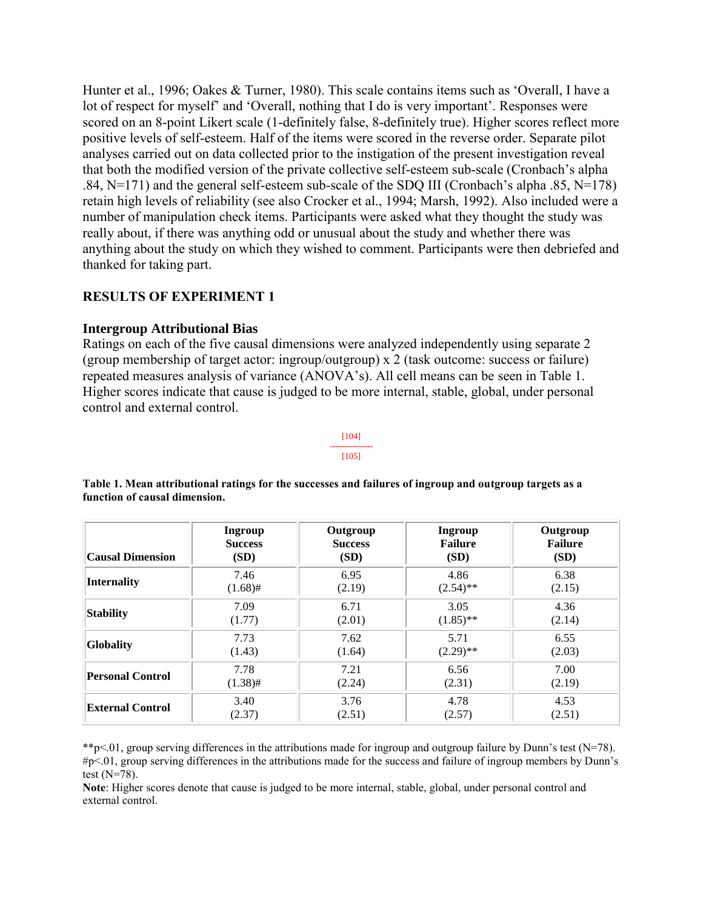Hunter et al., 1996; Oakes & Turner, 1980). This scale contains items such as 'Overall, I have a lot of respect for myself' and 'Overall, nothing that I do is very important'. Responses were scored on an 8-point Likert scale (1-definitely false, 8-definitely true). Higher scores reflect more positive levels of self-esteem. Half of the items were scored in the reverse order. Separate pilot analyses carried out on data collected prior to the instigation of the present investigation reveal that both the modified version of the private collective self-esteem sub-scale (Cronbach's alpha .84, N=171) and the general self-esteem sub-scale of the SDQ III (Cronbach's alpha .85, N=178) retain high levels of reliability (see also Crocker et al., 1994; Marsh, 1992). Also included were a number of manipulation check items. Participants were asked what they thought the study was really about, if there was anything odd or unusual about the study and whether there was anything about the study on which they wished to comment. Participants were then debriefed and thanked for taking part.

## **RESULTS OF EXPERIMENT 1**

## **Intergroup Attributional Bias**

Ratings on each of the five causal dimensions were analyzed independently using separate 2 (group membership of target actor: ingroup/outgroup) x 2 (task outcome: success or failure) repeated measures analysis of variance (ANOVA's). All cell means can be seen in Table 1. Higher scores indicate that cause is judged to be more internal, stable, global, under personal control and external control.

#### [104] --------------- [105]

| <b>Causal Dimension</b> | <b>Ingroup</b> | Outgroup       | <b>Ingroup</b> | Outgroup       |
|-------------------------|----------------|----------------|----------------|----------------|
|                         | <b>Success</b> | <b>Success</b> | <b>Failure</b> | <b>Failure</b> |
|                         | (SD)           | (SD)           | (SD)           | (SD)           |
| <b>Internality</b>      | 7.46           | 6.95           | 4.86           | 6.38           |
|                         | $(1.68)$ #     | (2.19)         | $(2.54)$ **    | (2.15)         |
| Stability               | 7.09           | 6.71           | 3.05           | 4.36           |
|                         | (1.77)         | (2.01)         | $(1.85)$ **    | (2.14)         |
| <b>Globality</b>        | 7.73           | 7.62           | 5.71           | 6.55           |
|                         | (1.43)         | (1.64)         | $(2.29)$ **    | (2.03)         |
| <b>Personal Control</b> | 7.78           | 7.21           | 6.56           | 7.00           |
|                         | $(1.38)$ #     | (2.24)         | (2.31)         | (2.19)         |
| <b>External Control</b> | 3.40           | 3.76           | 4.78           | 4.53           |
|                         | (2.37)         | (2.51)         | (2.57)         | (2.51)         |

**Table 1. Mean attributional ratings for the successes and failures of ingroup and outgroup targets as a function of causal dimension.** 

\*\*p<.01, group serving differences in the attributions made for ingroup and outgroup failure by Dunn's test (N=78). #p<.01, group serving differences in the attributions made for the success and failure of ingroup members by Dunn's test  $(N=78)$ .

**Note**: Higher scores denote that cause is judged to be more internal, stable, global, under personal control and external control.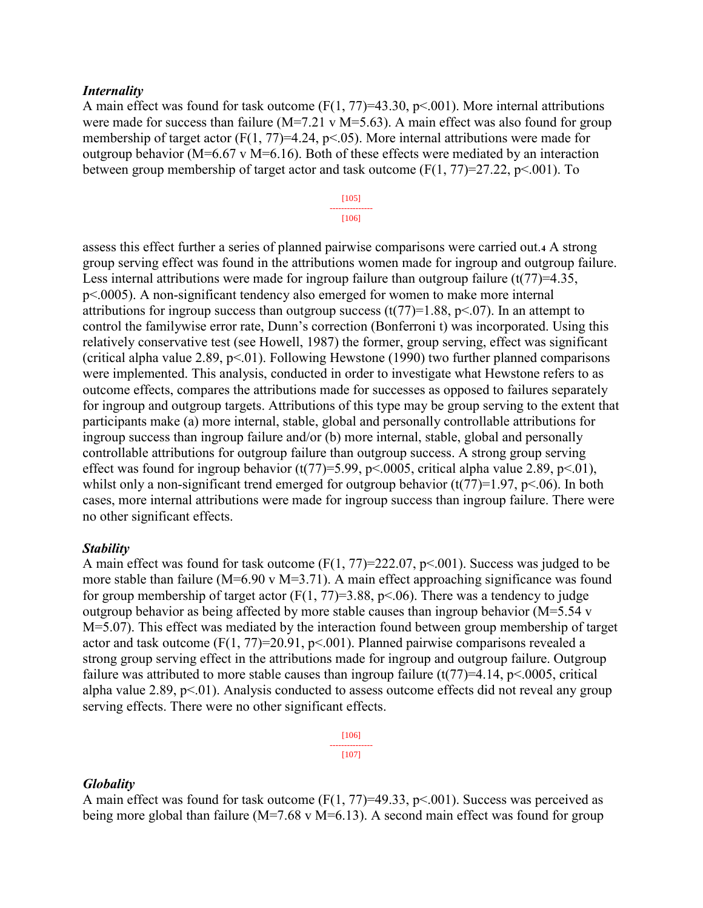#### *Internality*

A main effect was found for task outcome  $(F(1, 77)=43.30, p<.001)$ . More internal attributions were made for success than failure ( $M=7.21$  v  $M=5.63$ ). A main effect was also found for group membership of target actor (F(1, 77)=4.24, p<.05). More internal attributions were made for outgroup behavior ( $M=6.67$  v  $M=6.16$ ). Both of these effects were mediated by an interaction between group membership of target actor and task outcome  $(F(1, 77)=27.22, p<.001)$ . To

#### [105] --------------- [106]

assess this effect further a series of planned pairwise comparisons were carried out.**<sup>4</sup>** A strong group serving effect was found in the attributions women made for ingroup and outgroup failure. Less internal attributions were made for ingroup failure than outgroup failure  $(t(77)=4.35)$ , p<.0005). A non-significant tendency also emerged for women to make more internal attributions for ingroup success than outgroup success  $(t(77)=1.88, p<0.07)$ . In an attempt to control the familywise error rate, Dunn's correction (Bonferroni t) was incorporated. Using this relatively conservative test (see Howell, 1987) the former, group serving, effect was significant (critical alpha value 2.89,  $p<01$ ). Following Hewstone (1990) two further planned comparisons were implemented. This analysis, conducted in order to investigate what Hewstone refers to as outcome effects, compares the attributions made for successes as opposed to failures separately for ingroup and outgroup targets. Attributions of this type may be group serving to the extent that participants make (a) more internal, stable, global and personally controllable attributions for ingroup success than ingroup failure and/or (b) more internal, stable, global and personally controllable attributions for outgroup failure than outgroup success. A strong group serving effect was found for ingroup behavior (t(77)=5.99, p<.0005, critical alpha value 2.89, p<.01), whilst only a non-significant trend emerged for outgroup behavior  $(t(77)=1.97, p<.06)$ . In both cases, more internal attributions were made for ingroup success than ingroup failure. There were no other significant effects.

### *Stability*

A main effect was found for task outcome  $(F(1, 77)=222.07, p<0.01)$ . Success was judged to be more stable than failure ( $M=6.90$  v  $M=3.71$ ). A main effect approaching significance was found for group membership of target actor  $(F(1, 77)=3.88, p<.06)$ . There was a tendency to judge outgroup behavior as being affected by more stable causes than ingroup behavior (M=5.54 v M=5.07). This effect was mediated by the interaction found between group membership of target actor and task outcome  $(F(1, 77)=20.91, p<0.01)$ . Planned pairwise comparisons revealed a strong group serving effect in the attributions made for ingroup and outgroup failure. Outgroup failure was attributed to more stable causes than ingroup failure  $(t(77)=4.14, p<.0005,$  critical alpha value 2.89,  $p<01$ ). Analysis conducted to assess outcome effects did not reveal any group serving effects. There were no other significant effects.

> [106] --------------- [107]

### *Globality*

A main effect was found for task outcome  $(F(1, 77)=49.33, p<.001)$ . Success was perceived as being more global than failure ( $M=7.68$  v  $M=6.13$ ). A second main effect was found for group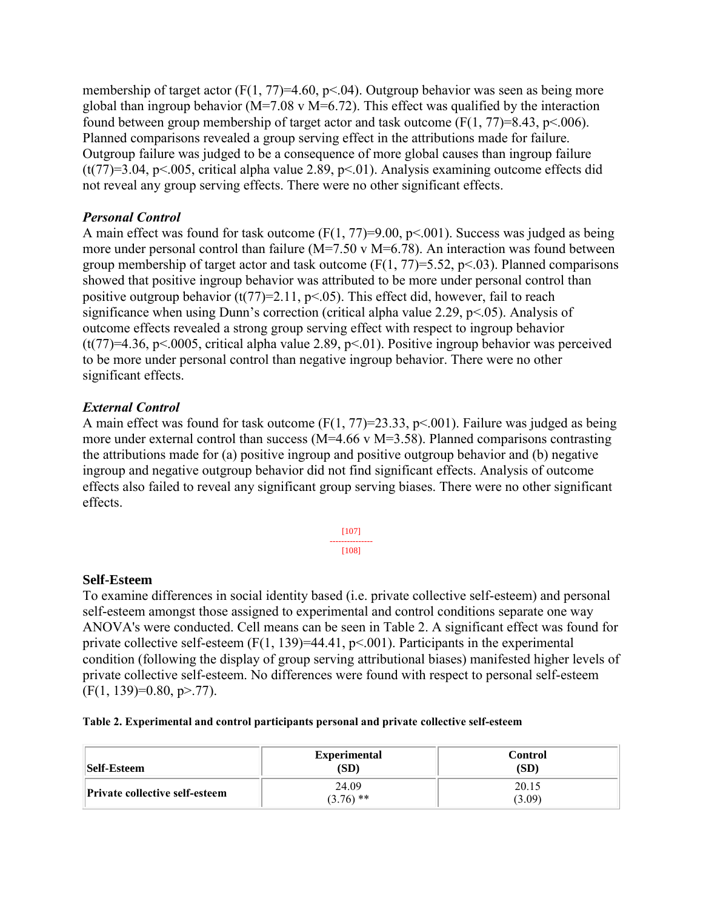membership of target actor (F(1, 77)=4.60, p<0.4). Outgroup behavior was seen as being more global than ingroup behavior ( $M=7.08$  v  $M=6.72$ ). This effect was qualified by the interaction found between group membership of target actor and task outcome  $(F(1, 77)=8.43, p<.006)$ . Planned comparisons revealed a group serving effect in the attributions made for failure. Outgroup failure was judged to be a consequence of more global causes than ingroup failure (t(77)=3.04, p<.005, critical alpha value 2.89, p<.01). Analysis examining outcome effects did not reveal any group serving effects. There were no other significant effects.

## *Personal Control*

A main effect was found for task outcome  $(F(1, 77)=9.00, p<.001)$ . Success was judged as being more under personal control than failure (M=7.50 v M=6.78). An interaction was found between group membership of target actor and task outcome  $(F(1, 77)=5.52, p<.03)$ . Planned comparisons showed that positive ingroup behavior was attributed to be more under personal control than positive outgroup behavior  $(t(77)=2.11, p<0.05)$ . This effect did, however, fail to reach significance when using Dunn's correction (critical alpha value 2.29, p<.05). Analysis of outcome effects revealed a strong group serving effect with respect to ingroup behavior (t(77)=4.36, p<.0005, critical alpha value 2.89, p<.01). Positive ingroup behavior was perceived to be more under personal control than negative ingroup behavior. There were no other significant effects.

## *External Control*

A main effect was found for task outcome  $(F(1, 77)=23.33, p<0.01)$ . Failure was judged as being more under external control than success (M=4.66 v M=3.58). Planned comparisons contrasting the attributions made for (a) positive ingroup and positive outgroup behavior and (b) negative ingroup and negative outgroup behavior did not find significant effects. Analysis of outcome effects also failed to reveal any significant group serving biases. There were no other significant effects.

> [107] --------------- [108]

## **Self-Esteem**

To examine differences in social identity based (i.e. private collective self-esteem) and personal self-esteem amongst those assigned to experimental and control conditions separate one way ANOVA's were conducted. Cell means can be seen in Table 2. A significant effect was found for private collective self-esteem  $(F(1, 139)=44.41, p<0.001)$ . Participants in the experimental condition (following the display of group serving attributional biases) manifested higher levels of private collective self-esteem. No differences were found with respect to personal self-esteem  $(F(1, 139)=0.80, p>77)$ .

|  |  | Table 2. Experimental and control participants personal and private collective self-esteem |
|--|--|--------------------------------------------------------------------------------------------|
|  |  |                                                                                            |

| <b>Self-Esteem</b>                    | <b>Experimental</b><br>(SD) | Control<br>(SD) |
|---------------------------------------|-----------------------------|-----------------|
| <b>Private collective self-esteem</b> | 24.09<br>$(3.76)$ **        | 20.15<br>(3.09) |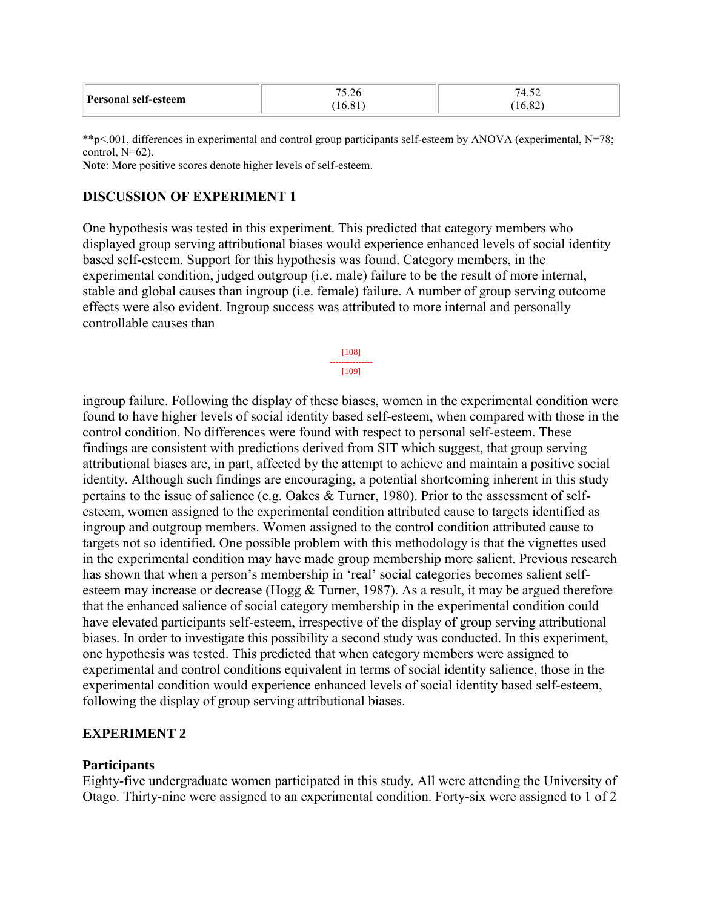|                      | 5.20             | $\Delta$       |
|----------------------|------------------|----------------|
| Personal self-esteem | 10 <sub>10</sub> | $\sim$<br>0.82 |

\*\*p<.001, differences in experimental and control group participants self-esteem by ANOVA (experimental, N=78; control, N=62).

**Note**: More positive scores denote higher levels of self-esteem.

### **DISCUSSION OF EXPERIMENT 1**

One hypothesis was tested in this experiment. This predicted that category members who displayed group serving attributional biases would experience enhanced levels of social identity based self-esteem. Support for this hypothesis was found. Category members, in the experimental condition, judged outgroup (i.e. male) failure to be the result of more internal, stable and global causes than ingroup (i.e. female) failure. A number of group serving outcome effects were also evident. Ingroup success was attributed to more internal and personally controllable causes than



ingroup failure. Following the display of these biases, women in the experimental condition were found to have higher levels of social identity based self-esteem, when compared with those in the control condition. No differences were found with respect to personal self-esteem. These findings are consistent with predictions derived from SIT which suggest, that group serving attributional biases are, in part, affected by the attempt to achieve and maintain a positive social identity. Although such findings are encouraging, a potential shortcoming inherent in this study pertains to the issue of salience (e.g. Oakes & Turner, 1980). Prior to the assessment of selfesteem, women assigned to the experimental condition attributed cause to targets identified as ingroup and outgroup members. Women assigned to the control condition attributed cause to targets not so identified. One possible problem with this methodology is that the vignettes used in the experimental condition may have made group membership more salient. Previous research has shown that when a person's membership in 'real' social categories becomes salient selfesteem may increase or decrease (Hogg & Turner, 1987). As a result, it may be argued therefore that the enhanced salience of social category membership in the experimental condition could have elevated participants self-esteem, irrespective of the display of group serving attributional biases. In order to investigate this possibility a second study was conducted. In this experiment, one hypothesis was tested. This predicted that when category members were assigned to experimental and control conditions equivalent in terms of social identity salience, those in the experimental condition would experience enhanced levels of social identity based self-esteem, following the display of group serving attributional biases.

### **EXPERIMENT 2**

#### **Participants**

Eighty-five undergraduate women participated in this study. All were attending the University of Otago. Thirty-nine were assigned to an experimental condition. Forty-six were assigned to 1 of 2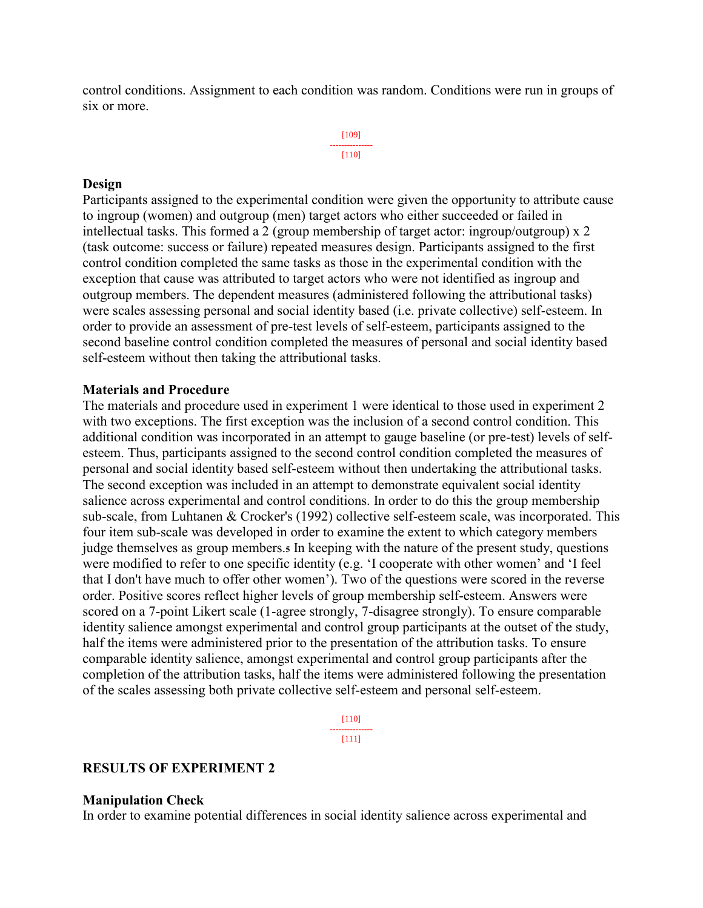control conditions. Assignment to each condition was random. Conditions were run in groups of six or more.

> [109] --------------- [110]

### **Design**

Participants assigned to the experimental condition were given the opportunity to attribute cause to ingroup (women) and outgroup (men) target actors who either succeeded or failed in intellectual tasks. This formed a 2 (group membership of target actor: ingroup/outgroup) x 2 (task outcome: success or failure) repeated measures design. Participants assigned to the first control condition completed the same tasks as those in the experimental condition with the exception that cause was attributed to target actors who were not identified as ingroup and outgroup members. The dependent measures (administered following the attributional tasks) were scales assessing personal and social identity based (i.e. private collective) self-esteem. In order to provide an assessment of pre-test levels of self-esteem, participants assigned to the second baseline control condition completed the measures of personal and social identity based self-esteem without then taking the attributional tasks.

### **Materials and Procedure**

The materials and procedure used in experiment 1 were identical to those used in experiment 2 with two exceptions. The first exception was the inclusion of a second control condition. This additional condition was incorporated in an attempt to gauge baseline (or pre-test) levels of selfesteem. Thus, participants assigned to the second control condition completed the measures of personal and social identity based self-esteem without then undertaking the attributional tasks. The second exception was included in an attempt to demonstrate equivalent social identity salience across experimental and control conditions. In order to do this the group membership sub-scale, from Luhtanen & Crocker's (1992) collective self-esteem scale, was incorporated. This four item sub-scale was developed in order to examine the extent to which category members judge themselves as group members.**<sup>5</sup>** In keeping with the nature of the present study, questions were modified to refer to one specific identity (e.g. 'I cooperate with other women' and 'I feel that I don't have much to offer other women'). Two of the questions were scored in the reverse order. Positive scores reflect higher levels of group membership self-esteem. Answers were scored on a 7-point Likert scale (1-agree strongly, 7-disagree strongly). To ensure comparable identity salience amongst experimental and control group participants at the outset of the study, half the items were administered prior to the presentation of the attribution tasks. To ensure comparable identity salience, amongst experimental and control group participants after the completion of the attribution tasks, half the items were administered following the presentation of the scales assessing both private collective self-esteem and personal self-esteem.

> [110] --------------- [111]

## **RESULTS OF EXPERIMENT 2**

### **Manipulation Check**

In order to examine potential differences in social identity salience across experimental and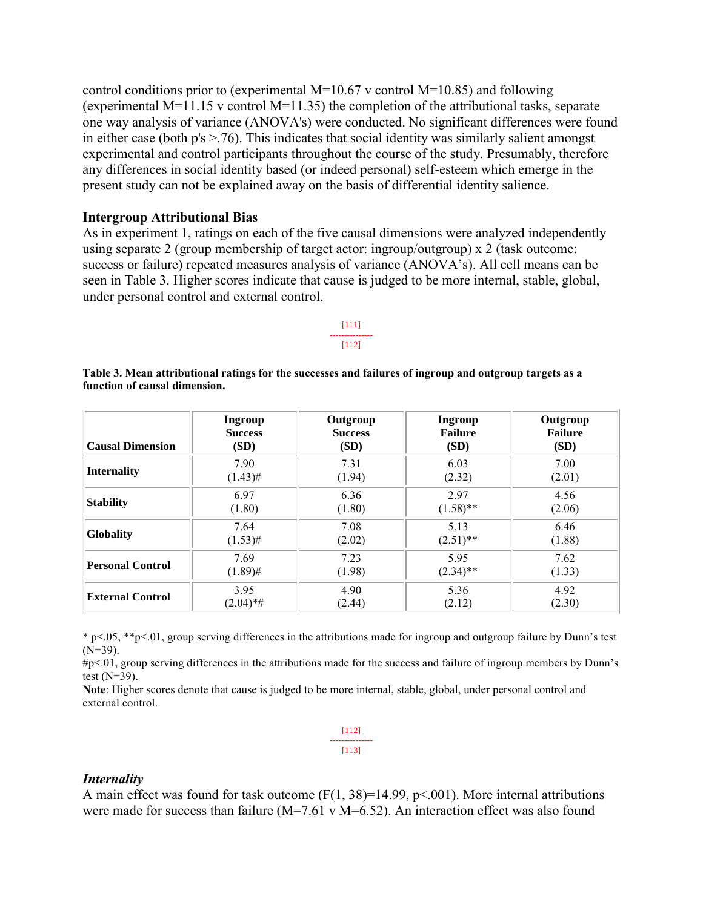control conditions prior to (experimental  $M=10.67$  v control  $M=10.85$ ) and following (experimental  $M=11.15$  v control  $M=11.35$ ) the completion of the attributional tasks, separate one way analysis of variance (ANOVA's) were conducted. No significant differences were found in either case (both  $p's > .76$ ). This indicates that social identity was similarly salient amongst experimental and control participants throughout the course of the study. Presumably, therefore any differences in social identity based (or indeed personal) self-esteem which emerge in the present study can not be explained away on the basis of differential identity salience.

### **Intergroup Attributional Bias**

As in experiment 1, ratings on each of the five causal dimensions were analyzed independently using separate 2 (group membership of target actor: ingroup/outgroup) x 2 (task outcome: success or failure) repeated measures analysis of variance (ANOVA's). All cell means can be seen in Table 3. Higher scores indicate that cause is judged to be more internal, stable, global, under personal control and external control.

#### [111] --------------- [112]

| <b>Causal Dimension</b> | Ingroup        | Outgroup       | <b>Ingroup</b> | Outgroup       |
|-------------------------|----------------|----------------|----------------|----------------|
|                         | <b>Success</b> | <b>Success</b> | <b>Failure</b> | <b>Failure</b> |
|                         | (SD)           | (SD)           | (SD)           | (SD)           |
| <b>Internality</b>      | 7.90           | 7.31           | 6.03           | 7.00           |
|                         | $(1.43)$ #     | (1.94)         | (2.32)         | (2.01)         |
| Stability               | 6.97           | 6.36           | 2.97           | 4.56           |
|                         | (1.80)         | (1.80)         | $(1.58)$ **    | (2.06)         |
| <b>Globality</b>        | 7.64           | 7.08           | 5.13           | 6.46           |
|                         | $(1.53)$ #     | (2.02)         | $(2.51)$ **    | (1.88)         |
| <b>Personal Control</b> | 7.69           | 7.23           | 5.95           | 7.62           |
|                         | $(1.89)$ #     | (1.98)         | $(2.34)$ **    | (1.33)         |
| <b>External Control</b> | 3.95           | 4.90           | 5.36           | 4.92           |
|                         | $(2.04)$ *#    | (2.44)         | (2.12)         | (2.30)         |

#### **Table 3. Mean attributional ratings for the successes and failures of ingroup and outgroup targets as a function of causal dimension.**

\* p<.05, \*\*p<.01, group serving differences in the attributions made for ingroup and outgroup failure by Dunn's test  $(N=39)$ .

#p<.01, group serving differences in the attributions made for the success and failure of ingroup members by Dunn's test  $(N=39)$ .

**Note**: Higher scores denote that cause is judged to be more internal, stable, global, under personal control and external control.

|  | [112] |  |
|--|-------|--|
|  |       |  |
|  | [113] |  |

## *Internality*

A main effect was found for task outcome  $(F(1, 38)=14.99, p<0.001)$ . More internal attributions were made for success than failure (M=7.61 v M=6.52). An interaction effect was also found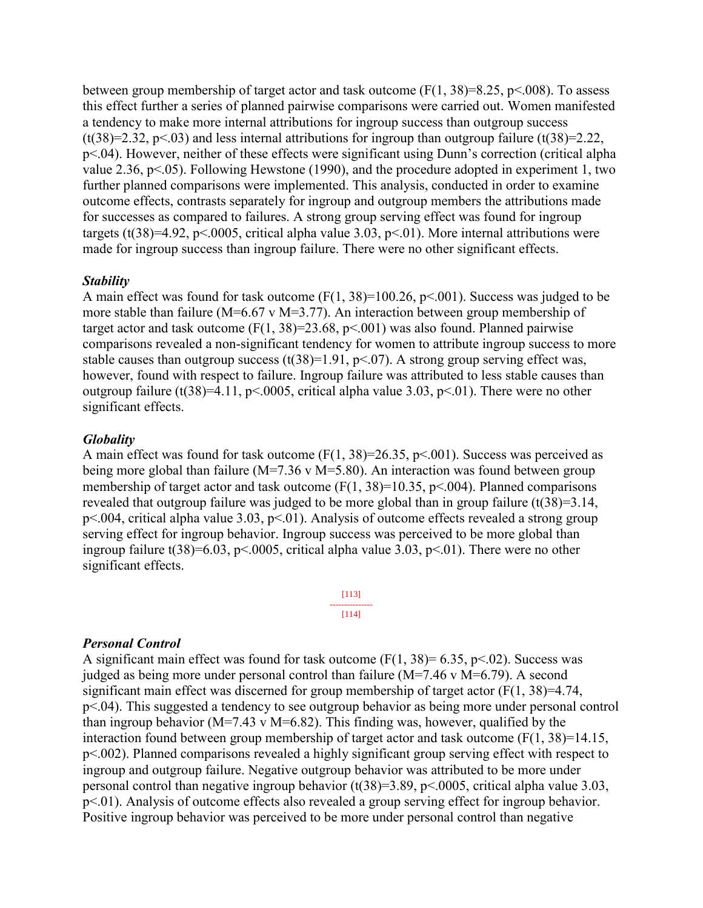between group membership of target actor and task outcome  $(F(1, 38)=8.25, p<008)$ . To assess this effect further a series of planned pairwise comparisons were carried out. Women manifested a tendency to make more internal attributions for ingroup success than outgroup success (t(38)=2.32, p<.03) and less internal attributions for ingroup than outgroup failure (t(38)=2.22, p<.04). However, neither of these effects were significant using Dunn's correction (critical alpha value 2.36, p<.05). Following Hewstone (1990), and the procedure adopted in experiment 1, two further planned comparisons were implemented. This analysis, conducted in order to examine outcome effects, contrasts separately for ingroup and outgroup members the attributions made for successes as compared to failures. A strong group serving effect was found for ingroup targets (t(38)=4.92, p<.0005, critical alpha value 3.03, p<.01). More internal attributions were made for ingroup success than ingroup failure. There were no other significant effects.

### *Stability*

A main effect was found for task outcome  $(F(1, 38)=100.26, p<0.01)$ . Success was judged to be more stable than failure (M=6.67 v M=3.77). An interaction between group membership of target actor and task outcome  $(F(1, 38)=23.68, p<0.01)$  was also found. Planned pairwise comparisons revealed a non-significant tendency for women to attribute ingroup success to more stable causes than outgroup success (t(38)=1.91, p<.07). A strong group serving effect was, however, found with respect to failure. Ingroup failure was attributed to less stable causes than outgroup failure (t(38)=4.11, p<.0005, critical alpha value 3.03, p<.01). There were no other significant effects.

#### *Globality*

A main effect was found for task outcome  $(F(1, 38)=26.35, p<0.01)$ . Success was perceived as being more global than failure ( $M=7.36$  v  $M=5.80$ ). An interaction was found between group membership of target actor and task outcome  $(F(1, 38)=10.35, p<0.04)$ . Planned comparisons revealed that outgroup failure was judged to be more global than in group failure (t(38)=3.14,  $p \le 0.004$ , critical alpha value 3.03,  $p \le 01$ ). Analysis of outcome effects revealed a strong group serving effect for ingroup behavior. Ingroup success was perceived to be more global than ingroup failure t(38)=6.03, p<.0005, critical alpha value 3.03, p<.01). There were no other significant effects.

#### [113] --------------- [114]

#### *Personal Control*

A significant main effect was found for task outcome  $(F(1, 38)= 6.35, p<0.02)$ . Success was judged as being more under personal control than failure (M=7.46 v M=6.79). A second significant main effect was discerned for group membership of target actor  $(F(1, 38)=4.74$ , p<.04). This suggested a tendency to see outgroup behavior as being more under personal control than ingroup behavior ( $M=7.43$  v  $M=6.82$ ). This finding was, however, qualified by the interaction found between group membership of target actor and task outcome  $(F(1, 38)=14.15)$ , p<.002). Planned comparisons revealed a highly significant group serving effect with respect to ingroup and outgroup failure. Negative outgroup behavior was attributed to be more under personal control than negative ingroup behavior (t(38)=3.89, p<.0005, critical alpha value 3.03, p<.01). Analysis of outcome effects also revealed a group serving effect for ingroup behavior. Positive ingroup behavior was perceived to be more under personal control than negative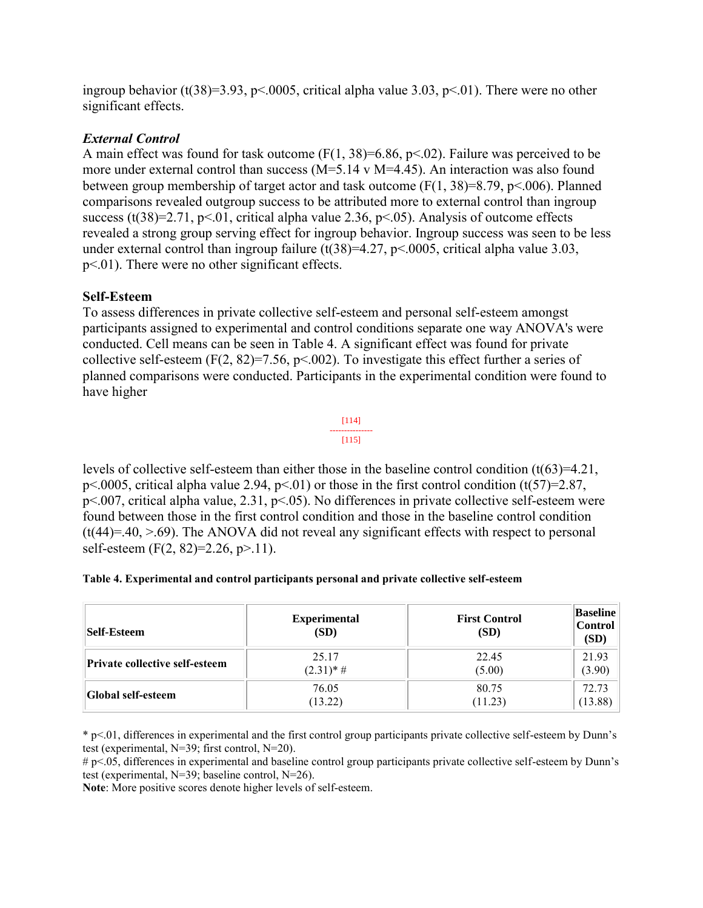ingroup behavior (t(38)=3.93, p<.0005, critical alpha value 3.03, p<.01). There were no other significant effects.

## *External Control*

A main effect was found for task outcome  $(F(1, 38)=6.86, p<0.02)$ . Failure was perceived to be more under external control than success (M=5.14 v M=4.45). An interaction was also found between group membership of target actor and task outcome  $(F(1, 38)=8.79, p<.006)$ . Planned comparisons revealed outgroup success to be attributed more to external control than ingroup success (t(38)=2.71, p<.01, critical alpha value 2.36, p<.05). Analysis of outcome effects revealed a strong group serving effect for ingroup behavior. Ingroup success was seen to be less under external control than ingroup failure (t(38)=4.27, p<.0005, critical alpha value 3.03, p<.01). There were no other significant effects.

## **Self-Esteem**

To assess differences in private collective self-esteem and personal self-esteem amongst participants assigned to experimental and control conditions separate one way ANOVA's were conducted. Cell means can be seen in Table 4. A significant effect was found for private collective self-esteem (F(2, 82)=7.56, p < 002). To investigate this effect further a series of planned comparisons were conducted. Participants in the experimental condition were found to have higher



levels of collective self-esteem than either those in the baseline control condition  $(t(63)=4.21)$ , p<.0005, critical alpha value 2.94, p<.01) or those in the first control condition  $(t(57)=2.87$ , p<.007, critical alpha value, 2.31, p<.05). No differences in private collective self-esteem were found between those in the first control condition and those in the baseline control condition  $(t(44)=.40, > .69)$ . The ANOVA did not reveal any significant effects with respect to personal self-esteem (F(2, 82)=2.26, p>.11).

|  | Table 4. Experimental and control participants personal and private collective self-esteem |
|--|--------------------------------------------------------------------------------------------|
|  |                                                                                            |

| Self-Esteem                    | <b>Experimental</b><br>(SD) | <b>First Control</b><br>(SD) | <b>Baseline</b><br><b>Control</b><br>(SD) |
|--------------------------------|-----------------------------|------------------------------|-------------------------------------------|
| Private collective self-esteem | 25.17                       | 22.45                        | 21.93                                     |
|                                | $(2.31)*#$                  | (5.00)                       | (3.90)                                    |
| <b>Global self-esteem</b>      | 76.05                       | 80.75                        | 72.73                                     |
|                                | (13.22)                     | (11.23)                      | (13.88)                                   |

\* p<.01, differences in experimental and the first control group participants private collective self-esteem by Dunn's test (experimental, N=39; first control, N=20).

# p<.05, differences in experimental and baseline control group participants private collective self-esteem by Dunn's test (experimental, N=39; baseline control, N=26).

**Note**: More positive scores denote higher levels of self-esteem.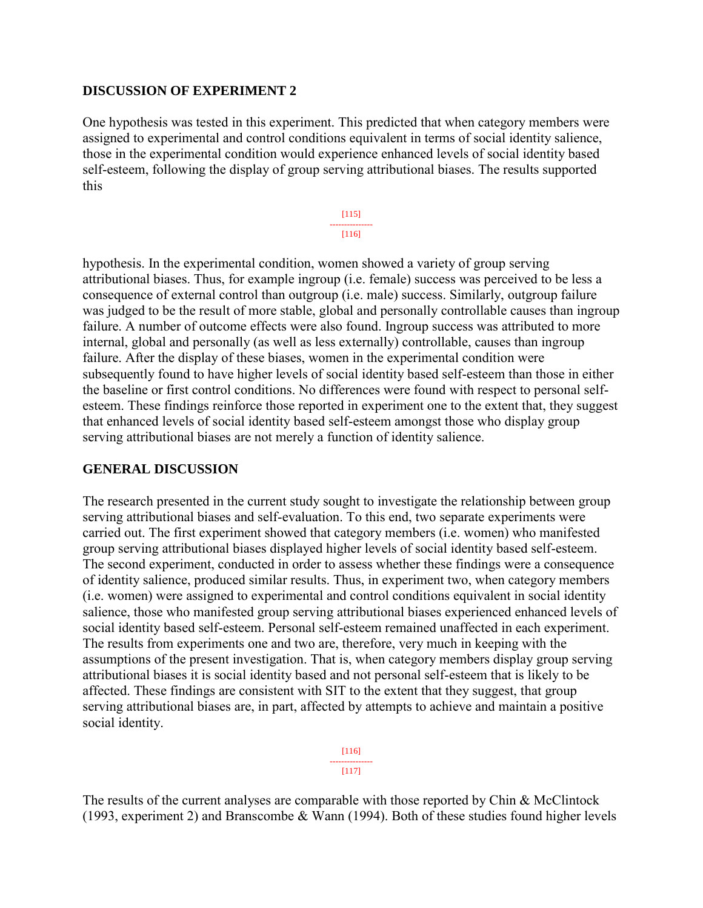## **DISCUSSION OF EXPERIMENT 2**

One hypothesis was tested in this experiment. This predicted that when category members were assigned to experimental and control conditions equivalent in terms of social identity salience, those in the experimental condition would experience enhanced levels of social identity based self-esteem, following the display of group serving attributional biases. The results supported this

> [115] --------------- [116]

hypothesis. In the experimental condition, women showed a variety of group serving attributional biases. Thus, for example ingroup (i.e. female) success was perceived to be less a consequence of external control than outgroup (i.e. male) success. Similarly, outgroup failure was judged to be the result of more stable, global and personally controllable causes than ingroup failure. A number of outcome effects were also found. Ingroup success was attributed to more internal, global and personally (as well as less externally) controllable, causes than ingroup failure. After the display of these biases, women in the experimental condition were subsequently found to have higher levels of social identity based self-esteem than those in either the baseline or first control conditions. No differences were found with respect to personal selfesteem. These findings reinforce those reported in experiment one to the extent that, they suggest that enhanced levels of social identity based self-esteem amongst those who display group serving attributional biases are not merely a function of identity salience.

## **GENERAL DISCUSSION**

The research presented in the current study sought to investigate the relationship between group serving attributional biases and self-evaluation. To this end, two separate experiments were carried out. The first experiment showed that category members (i.e. women) who manifested group serving attributional biases displayed higher levels of social identity based self-esteem. The second experiment, conducted in order to assess whether these findings were a consequence of identity salience, produced similar results. Thus, in experiment two, when category members (i.e. women) were assigned to experimental and control conditions equivalent in social identity salience, those who manifested group serving attributional biases experienced enhanced levels of social identity based self-esteem. Personal self-esteem remained unaffected in each experiment. The results from experiments one and two are, therefore, very much in keeping with the assumptions of the present investigation. That is, when category members display group serving attributional biases it is social identity based and not personal self-esteem that is likely to be affected. These findings are consistent with SIT to the extent that they suggest, that group serving attributional biases are, in part, affected by attempts to achieve and maintain a positive social identity.

> [116] --------------- [117]

The results of the current analyses are comparable with those reported by Chin & McClintock (1993, experiment 2) and Branscombe & Wann (1994). Both of these studies found higher levels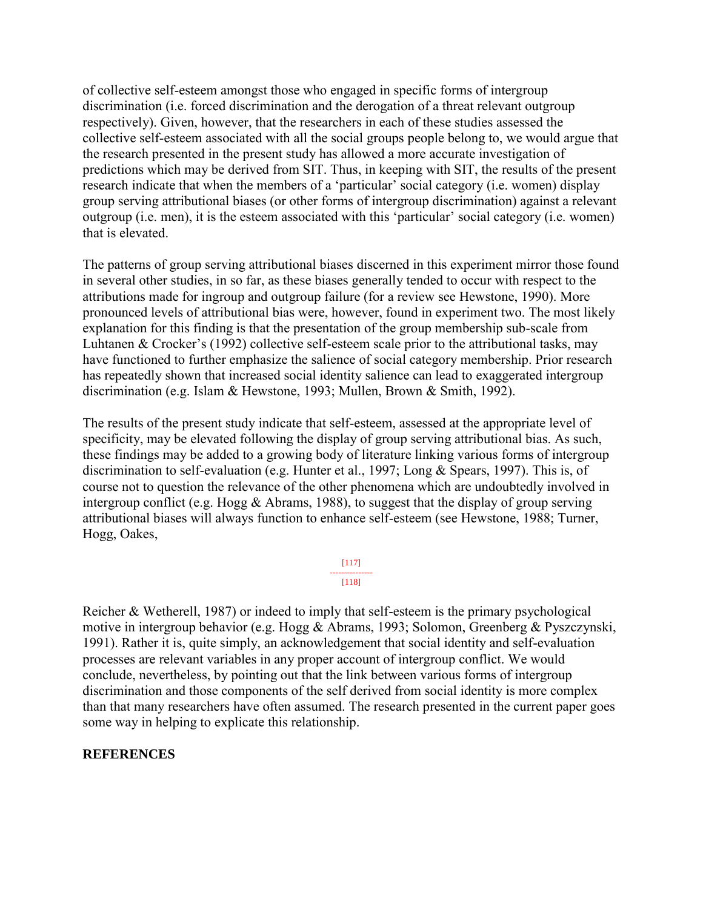of collective self-esteem amongst those who engaged in specific forms of intergroup discrimination (i.e. forced discrimination and the derogation of a threat relevant outgroup respectively). Given, however, that the researchers in each of these studies assessed the collective self-esteem associated with all the social groups people belong to, we would argue that the research presented in the present study has allowed a more accurate investigation of predictions which may be derived from SIT. Thus, in keeping with SIT, the results of the present research indicate that when the members of a 'particular' social category (i.e. women) display group serving attributional biases (or other forms of intergroup discrimination) against a relevant outgroup (i.e. men), it is the esteem associated with this 'particular' social category (i.e. women) that is elevated.

The patterns of group serving attributional biases discerned in this experiment mirror those found in several other studies, in so far, as these biases generally tended to occur with respect to the attributions made for ingroup and outgroup failure (for a review see Hewstone, 1990). More pronounced levels of attributional bias were, however, found in experiment two. The most likely explanation for this finding is that the presentation of the group membership sub-scale from Luhtanen & Crocker's (1992) collective self-esteem scale prior to the attributional tasks, may have functioned to further emphasize the salience of social category membership. Prior research has repeatedly shown that increased social identity salience can lead to exaggerated intergroup discrimination (e.g. Islam & Hewstone, 1993; Mullen, Brown & Smith, 1992).

The results of the present study indicate that self-esteem, assessed at the appropriate level of specificity, may be elevated following the display of group serving attributional bias. As such, these findings may be added to a growing body of literature linking various forms of intergroup discrimination to self-evaluation (e.g. Hunter et al., 1997; Long & Spears, 1997). This is, of course not to question the relevance of the other phenomena which are undoubtedly involved in intergroup conflict (e.g. Hogg & Abrams, 1988), to suggest that the display of group serving attributional biases will always function to enhance self-esteem (see Hewstone, 1988; Turner, Hogg, Oakes,

> [117] --------------- [118]

Reicher & Wetherell, 1987) or indeed to imply that self-esteem is the primary psychological motive in intergroup behavior (e.g. Hogg & Abrams, 1993; Solomon, Greenberg & Pyszczynski, 1991). Rather it is, quite simply, an acknowledgement that social identity and self-evaluation processes are relevant variables in any proper account of intergroup conflict. We would conclude, nevertheless, by pointing out that the link between various forms of intergroup discrimination and those components of the self derived from social identity is more complex than that many researchers have often assumed. The research presented in the current paper goes some way in helping to explicate this relationship.

## **REFERENCES**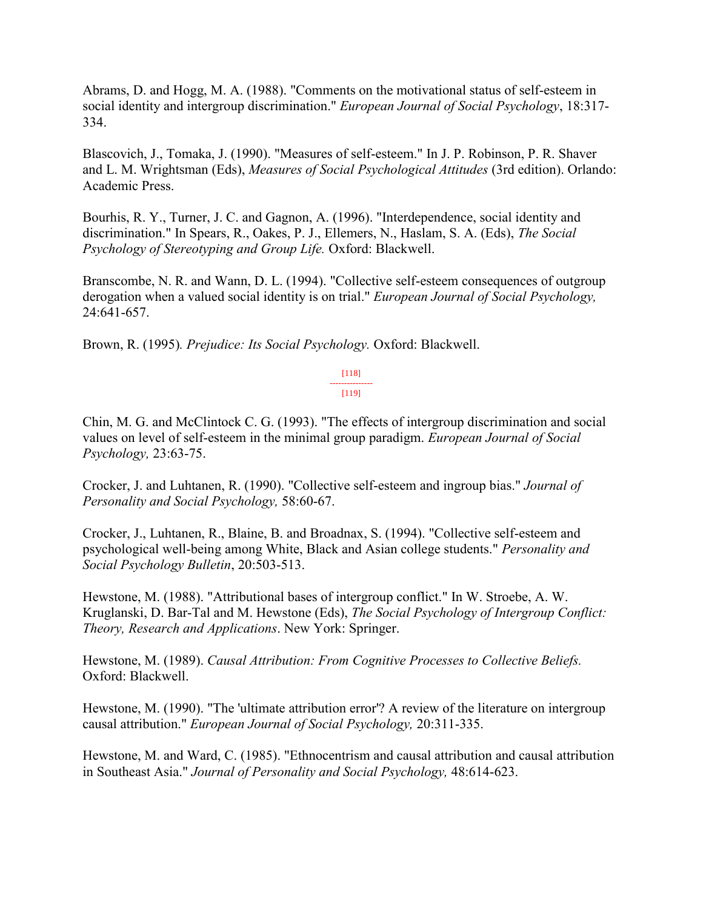Abrams, D. and Hogg, M. A. (1988). "Comments on the motivational status of self-esteem in social identity and intergroup discrimination." *European Journal of Social Psychology*, 18:317- 334.

Blascovich, J., Tomaka, J. (1990). "Measures of self-esteem." In J. P. Robinson, P. R. Shaver and L. M. Wrightsman (Eds), *Measures of Social Psychological Attitudes* (3rd edition). Orlando: Academic Press.

Bourhis, R. Y., Turner, J. C. and Gagnon, A. (1996). "Interdependence, social identity and discrimination." In Spears, R., Oakes, P. J., Ellemers, N., Haslam, S. A. (Eds), *The Social Psychology of Stereotyping and Group Life.* Oxford: Blackwell.

Branscombe, N. R. and Wann, D. L. (1994). "Collective self-esteem consequences of outgroup derogation when a valued social identity is on trial." *European Journal of Social Psychology,* 24:641-657.

Brown, R. (1995)*. Prejudice: Its Social Psychology.* Oxford: Blackwell.

[118] --------------- [119]

Chin, M. G. and McClintock C. G. (1993). "The effects of intergroup discrimination and social values on level of self-esteem in the minimal group paradigm. *European Journal of Social Psychology,* 23:63-75.

Crocker, J. and Luhtanen, R. (1990). "Collective self-esteem and ingroup bias." *Journal of Personality and Social Psychology,* 58:60-67.

Crocker, J., Luhtanen, R., Blaine, B. and Broadnax, S. (1994). "Collective self-esteem and psychological well-being among White, Black and Asian college students." *Personality and Social Psychology Bulletin*, 20:503-513.

Hewstone, M. (1988). "Attributional bases of intergroup conflict." In W. Stroebe, A. W. Kruglanski, D. Bar-Tal and M. Hewstone (Eds), *The Social Psychology of Intergroup Conflict: Theory, Research and Applications*. New York: Springer.

Hewstone, M. (1989). *Causal Attribution: From Cognitive Processes to Collective Beliefs.*  Oxford: Blackwell.

Hewstone, M. (1990). "The 'ultimate attribution error'? A review of the literature on intergroup causal attribution." *European Journal of Social Psychology,* 20:311-335.

Hewstone, M. and Ward, C. (1985). "Ethnocentrism and causal attribution and causal attribution in Southeast Asia." *Journal of Personality and Social Psychology,* 48:614-623.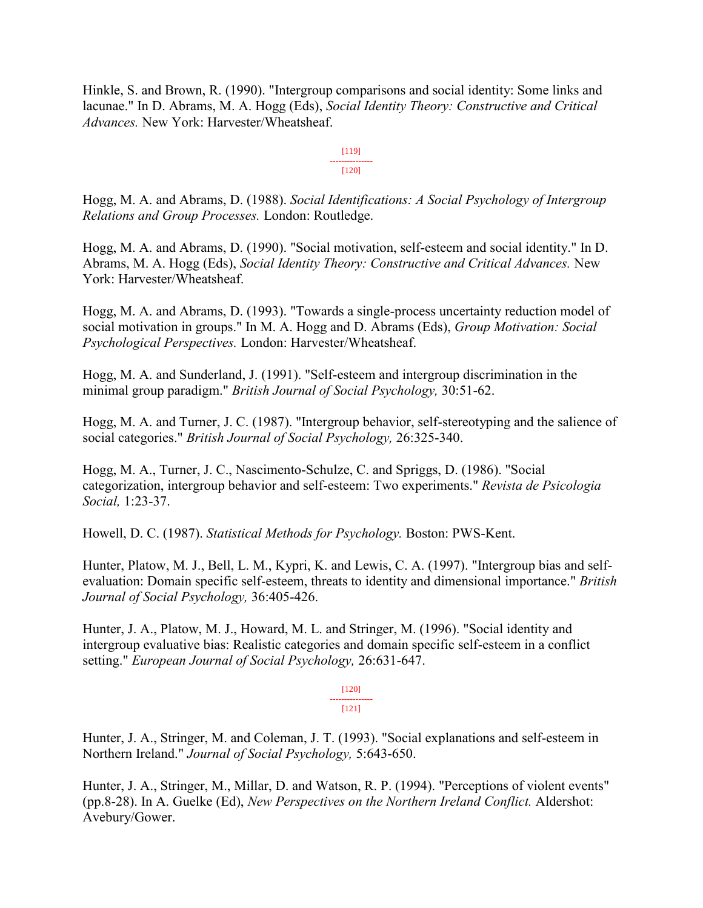Hinkle, S. and Brown, R. (1990). "Intergroup comparisons and social identity: Some links and lacunae." In D. Abrams, M. A. Hogg (Eds), *Social Identity Theory: Constructive and Critical Advances.* New York: Harvester/Wheatsheaf.

> [119] --------------- [120]

Hogg, M. A. and Abrams, D. (1988). *Social Identifications: A Social Psychology of Intergroup Relations and Group Processes.* London: Routledge.

Hogg, M. A. and Abrams, D. (1990). "Social motivation, self-esteem and social identity." In D. Abrams, M. A. Hogg (Eds), *Social Identity Theory: Constructive and Critical Advances.* New York: Harvester/Wheatsheaf.

Hogg, M. A. and Abrams, D. (1993). "Towards a single-process uncertainty reduction model of social motivation in groups." In M. A. Hogg and D. Abrams (Eds), *Group Motivation: Social Psychological Perspectives.* London: Harvester/Wheatsheaf.

Hogg, M. A. and Sunderland, J. (1991). "Self-esteem and intergroup discrimination in the minimal group paradigm." *British Journal of Social Psychology,* 30:51-62.

Hogg, M. A. and Turner, J. C. (1987). "Intergroup behavior, self-stereotyping and the salience of social categories." *British Journal of Social Psychology,* 26:325-340.

Hogg, M. A., Turner, J. C., Nascimento-Schulze, C. and Spriggs, D. (1986). "Social categorization, intergroup behavior and self-esteem: Two experiments." *Revista de Psicologia Social,* 1:23-37.

Howell, D. C. (1987). *Statistical Methods for Psychology.* Boston: PWS-Kent.

Hunter, Platow, M. J., Bell, L. M., Kypri, K. and Lewis, C. A. (1997). "Intergroup bias and selfevaluation: Domain specific self-esteem, threats to identity and dimensional importance." *British Journal of Social Psychology,* 36:405-426.

Hunter, J. A., Platow, M. J., Howard, M. L. and Stringer, M. (1996). "Social identity and intergroup evaluative bias: Realistic categories and domain specific self-esteem in a conflict setting." *European Journal of Social Psychology,* 26:631-647.

> [120] --------------- [121]

Hunter, J. A., Stringer, M. and Coleman, J. T. (1993). "Social explanations and self-esteem in Northern Ireland." *Journal of Social Psychology,* 5:643-650.

Hunter, J. A., Stringer, M., Millar, D. and Watson, R. P. (1994). "Perceptions of violent events" (pp.8-28). In A. Guelke (Ed), *New Perspectives on the Northern Ireland Conflict.* Aldershot: Avebury/Gower.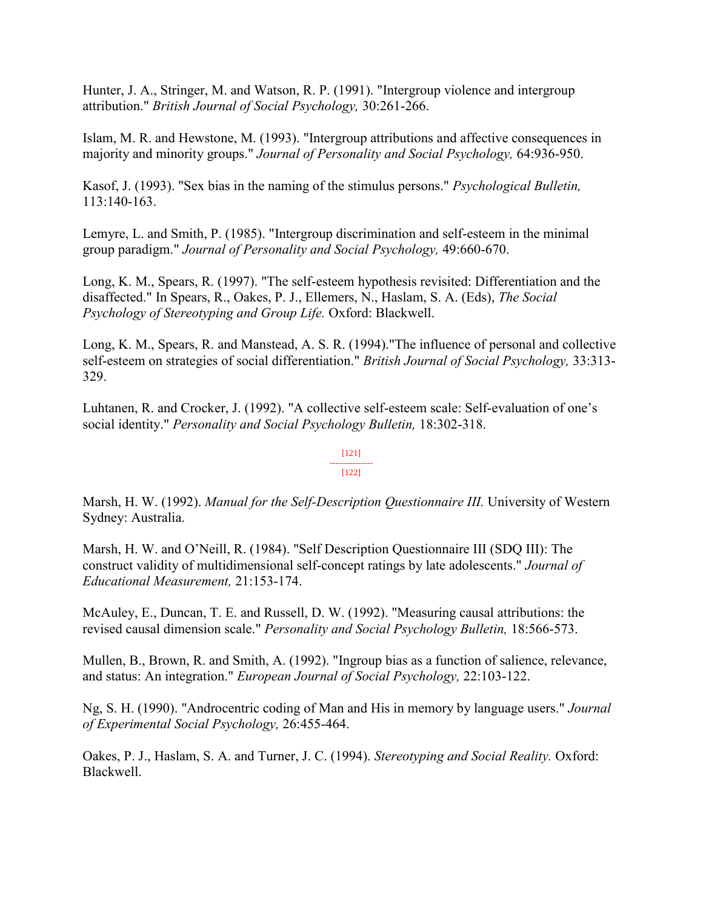Hunter, J. A., Stringer, M. and Watson, R. P. (1991). "Intergroup violence and intergroup attribution." *British Journal of Social Psychology,* 30:261-266.

Islam, M. R. and Hewstone, M. (1993). "Intergroup attributions and affective consequences in majority and minority groups." *Journal of Personality and Social Psychology,* 64:936-950.

Kasof, J. (1993). "Sex bias in the naming of the stimulus persons." *Psychological Bulletin,* 113:140-163.

Lemyre, L. and Smith, P. (1985). "Intergroup discrimination and self-esteem in the minimal group paradigm." *Journal of Personality and Social Psychology,* 49:660-670.

Long, K. M., Spears, R. (1997). "The self-esteem hypothesis revisited: Differentiation and the disaffected." In Spears, R., Oakes, P. J., Ellemers, N., Haslam, S. A. (Eds), *The Social Psychology of Stereotyping and Group Life.* Oxford: Blackwell.

Long, K. M., Spears, R. and Manstead, A. S. R. (1994)."The influence of personal and collective self-esteem on strategies of social differentiation." *British Journal of Social Psychology,* 33:313- 329.

Luhtanen, R. and Crocker, J. (1992). "A collective self-esteem scale: Self-evaluation of one's social identity." *Personality and Social Psychology Bulletin,* 18:302-318.

#### [121] --------------- [122]

## Marsh, H. W. (1992). *Manual for the Self-Description Questionnaire III.* University of Western Sydney: Australia.

Marsh, H. W. and O'Neill, R. (1984). "Self Description Questionnaire III (SDQ III): The construct validity of multidimensional self-concept ratings by late adolescents." *Journal of Educational Measurement,* 21:153-174.

McAuley, E., Duncan, T. E. and Russell, D. W. (1992). "Measuring causal attributions: the revised causal dimension scale." *Personality and Social Psychology Bulletin,* 18:566-573.

Mullen, B., Brown, R. and Smith, A. (1992). "Ingroup bias as a function of salience, relevance, and status: An integration." *European Journal of Social Psychology,* 22:103-122.

Ng, S. H. (1990). "Androcentric coding of Man and His in memory by language users." *Journal of Experimental Social Psychology,* 26:455-464.

Oakes, P. J., Haslam, S. A. and Turner, J. C. (1994). *Stereotyping and Social Reality.* Oxford: Blackwell.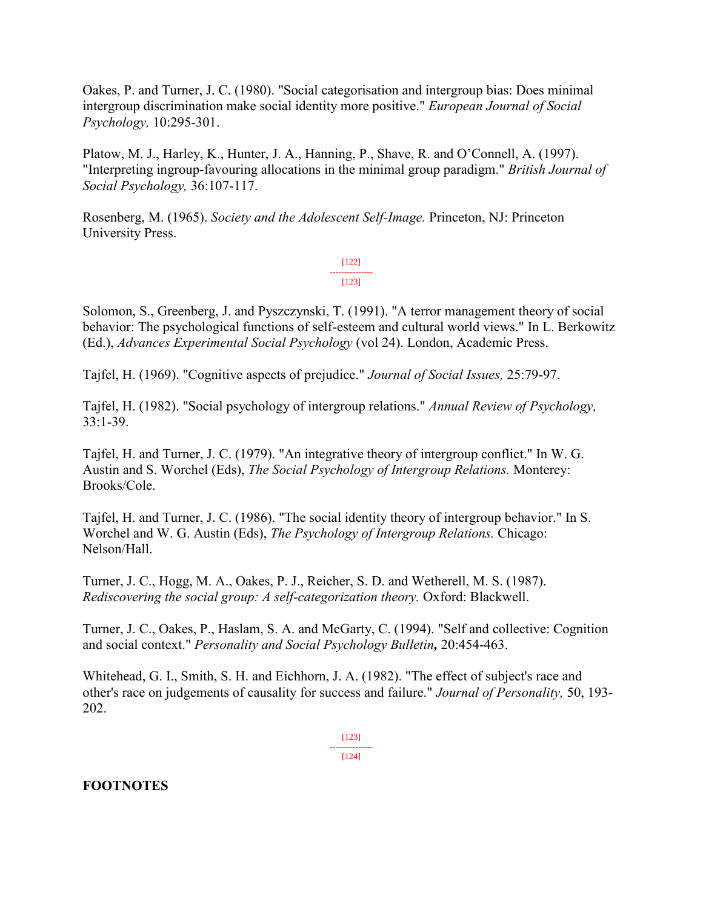Oakes, P. and Turner, J. C. (1980). "Social categorisation and intergroup bias: Does minimal intergroup discrimination make social identity more positive." *European Journal of Social Psychology,* 10:295-301.

Platow, M. J., Harley, K., Hunter, J. A., Hanning, P., Shave, R. and O'Connell, A. (1997). "Interpreting ingroup-favouring allocations in the minimal group paradigm." *British Journal of Social Psychology,* 36:107-117.

Rosenberg, M. (1965). *Society and the Adolescent Self-Image.* Princeton, NJ: Princeton University Press.

> [122] --------------- [123]

Solomon, S., Greenberg, J. and Pyszczynski, T. (1991). "A terror management theory of social behavior: The psychological functions of self-esteem and cultural world views." In L. Berkowitz (Ed.), *Advances Experimental Social Psychology* (vol 24). London, Academic Press.

Tajfel, H. (1969). "Cognitive aspects of prejudice." *Journal of Social Issues,* 25:79-97.

Tajfel, H. (1982). "Social psychology of intergroup relations." *Annual Review of Psychology,* 33:1-39.

Tajfel, H. and Turner, J. C. (1979). "An integrative theory of intergroup conflict." In W. G. Austin and S. Worchel (Eds), *The Social Psychology of Intergroup Relations.* Monterey: Brooks/Cole.

Tajfel, H. and Turner, J. C. (1986). "The social identity theory of intergroup behavior." In S. Worchel and W. G. Austin (Eds), *The Psychology of Intergroup Relations.* Chicago: Nelson/Hall.

Turner, J. C., Hogg, M. A., Oakes, P. J., Reicher, S. D. and Wetherell, M. S. (1987). *Rediscovering the social group: A self-categorization theory.* Oxford: Blackwell.

Turner, J. C., Oakes, P., Haslam, S. A. and McGarty, C. (1994). "Self and collective: Cognition and social context." *Personality and Social Psychology Bulletin,* 20:454-463.

Whitehead, G. I., Smith, S. H. and Eichhorn, J. A. (1982). "The effect of subject's race and other's race on judgements of causality for success and failure." *Journal of Personality,* 50, 193- 202.

> [123] --------------- [124]

## **FOOTNOTES**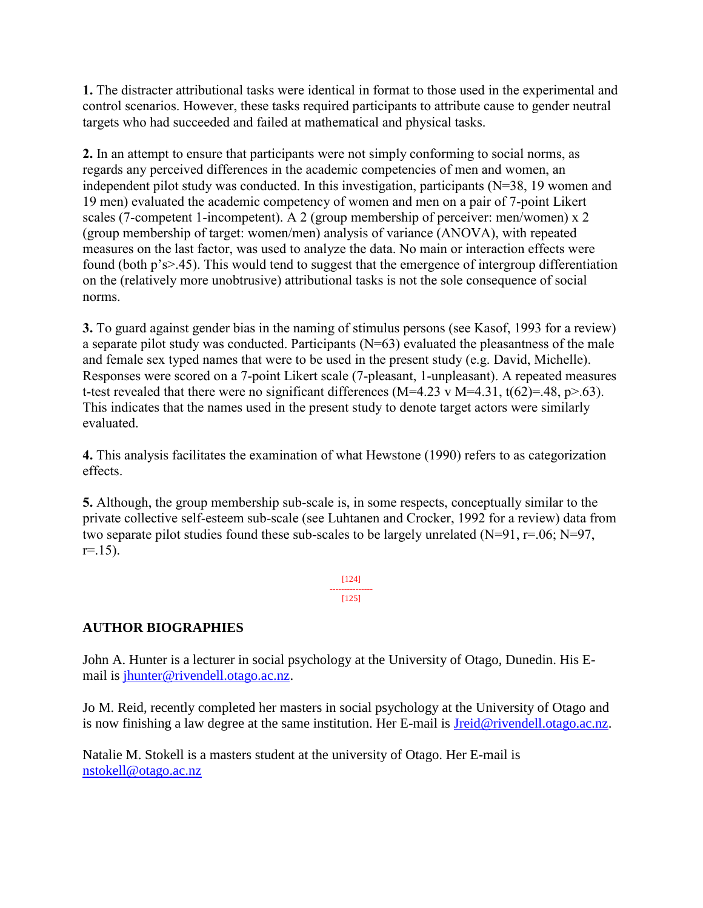**1.** The distracter attributional tasks were identical in format to those used in the experimental and control scenarios. However, these tasks required participants to attribute cause to gender neutral targets who had succeeded and failed at mathematical and physical tasks.

**2.** In an attempt to ensure that participants were not simply conforming to social norms, as regards any perceived differences in the academic competencies of men and women, an independent pilot study was conducted. In this investigation, participants (N=38, 19 women and 19 men) evaluated the academic competency of women and men on a pair of 7-point Likert scales (7-competent 1-incompetent). A 2 (group membership of perceiver: men/women) x 2 (group membership of target: women/men) analysis of variance (ANOVA), with repeated measures on the last factor, was used to analyze the data. No main or interaction effects were found (both p's>.45). This would tend to suggest that the emergence of intergroup differentiation on the (relatively more unobtrusive) attributional tasks is not the sole consequence of social norms.

**3.** To guard against gender bias in the naming of stimulus persons (see Kasof, 1993 for a review) a separate pilot study was conducted. Participants (N=63) evaluated the pleasantness of the male and female sex typed names that were to be used in the present study (e.g. David, Michelle). Responses were scored on a 7-point Likert scale (7-pleasant, 1-unpleasant). A repeated measures t-test revealed that there were no significant differences (M=4.23 v M=4.31, t(62)=.48, p>.63). This indicates that the names used in the present study to denote target actors were similarly evaluated.

**4.** This analysis facilitates the examination of what Hewstone (1990) refers to as categorization effects.

**5.** Although, the group membership sub-scale is, in some respects, conceptually similar to the private collective self-esteem sub-scale (see Luhtanen and Crocker, 1992 for a review) data from two separate pilot studies found these sub-scales to be largely unrelated  $(N=91, r=.06; N=97,$  $r = 15$ ).

> [124] --------------- [125]

## **AUTHOR BIOGRAPHIES**

John A. Hunter is a lecturer in social psychology at the University of Otago, Dunedin. His Email is [jhunter@rivendell.otago.ac.nz.](mailto:jhunter@rivendell.otago.ac.nz)

Jo M. Reid, recently completed her masters in social psychology at the University of Otago and is now finishing a law degree at the same institution. Her E-mail is [Jreid@rivendell.otago.ac.nz.](mailto:Jreid@rivendell.otago.ac.nz)

Natalie M. Stokell is a masters student at the university of Otago. Her E-mail is [nstokell@otago.ac.nz](mailto:nstokell@otago.ac.nz)